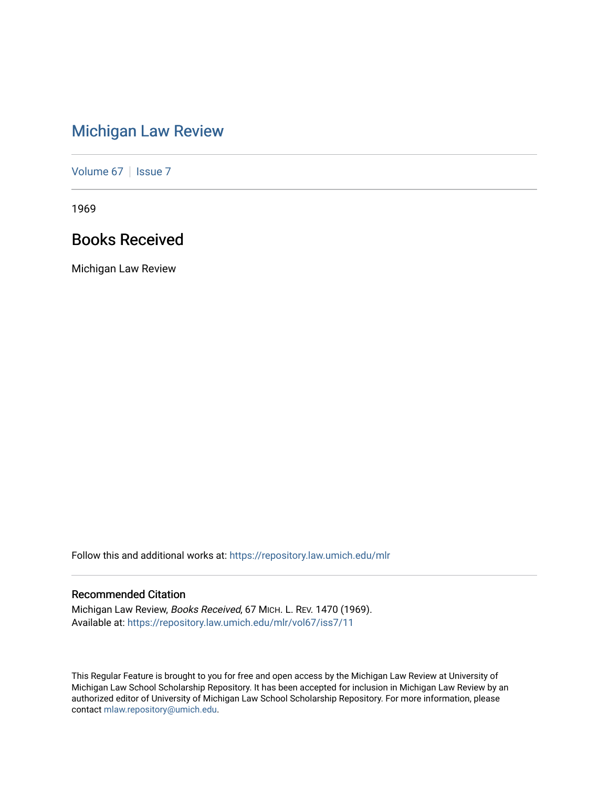# [Michigan Law Review](https://repository.law.umich.edu/mlr)

[Volume 67](https://repository.law.umich.edu/mlr/vol67) | [Issue 7](https://repository.law.umich.edu/mlr/vol67/iss7)

1969

# Books Received

Michigan Law Review

Follow this and additional works at: [https://repository.law.umich.edu/mlr](https://repository.law.umich.edu/mlr?utm_source=repository.law.umich.edu%2Fmlr%2Fvol67%2Fiss7%2F11&utm_medium=PDF&utm_campaign=PDFCoverPages) 

# Recommended Citation

Michigan Law Review, Books Received, 67 MICH. L. REV. 1470 (1969). Available at: [https://repository.law.umich.edu/mlr/vol67/iss7/11](https://repository.law.umich.edu/mlr/vol67/iss7/11?utm_source=repository.law.umich.edu%2Fmlr%2Fvol67%2Fiss7%2F11&utm_medium=PDF&utm_campaign=PDFCoverPages) 

This Regular Feature is brought to you for free and open access by the Michigan Law Review at University of Michigan Law School Scholarship Repository. It has been accepted for inclusion in Michigan Law Review by an authorized editor of University of Michigan Law School Scholarship Repository. For more information, please contact [mlaw.repository@umich.edu](mailto:mlaw.repository@umich.edu).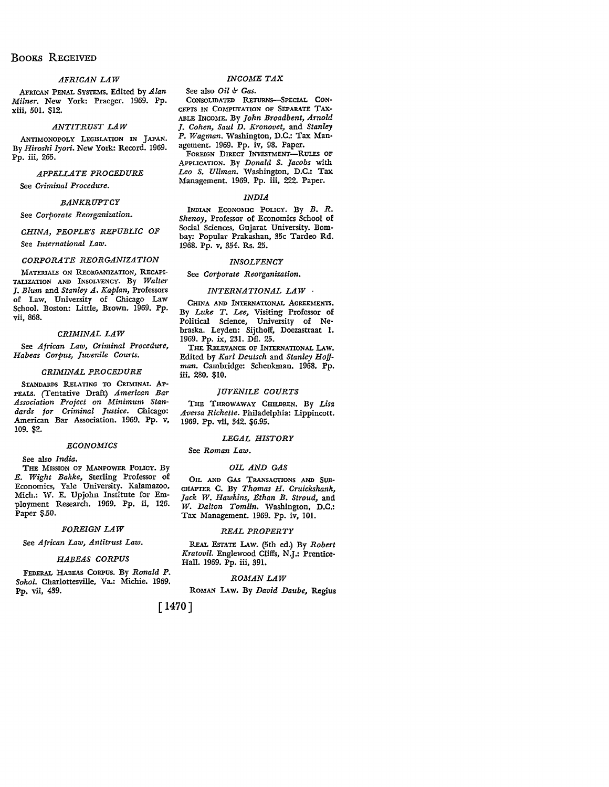# BooKS RECEIVED

# *AFRICAN LAW*

.AFRICAN PENAL SYSTEMS. Edited by *Alan Milner.* New York: Praeger. 1969. Pp. xiii, 501. \$12.

### *ANTITRUST LAW*

ANTIMONOPOLY LEGISLATION IN JAPAN. By *Hiroshi Iyori.* New York: Record. 1969. Pp. iii, 265.

#### *APPELLATE PROCEDURE*

See *Criminal Procedure.* 

# *BANKRUPTCY*

See *Corporate Reorganization.* 

# *CHINA, PEOPLE'S REPUBLIC OF*  See *International Law.*

# *CORPORATE REORGANIZATION*

MATERIALS ON REORGANIZATION, RECAPI-TALIZATION AND INSOLVENCY. By *Walter*  J. *Blum* and *Stanley A. Kaplan,* Professors of Law, University of Chicago Law School. Boston: Little, Brown. 1969. Pp. vii, 868.

#### *CRIMINAL LAW*

See *African Law, Criminal Procedure, Habeas Corpus, Juvenile Courts.* 

#### *CRIMINAL PROCEDURE*

STANDARDS RELATING TO CRIMINAL AP-PEALS. (Tentative Draft) *American Bar Association Project on Minimum Standards for Criminal Justice.* Chicago: American Bar Association. 1969. Pp. v, 109. \$2.

#### *ECONOMICS*

See also *India.* 

THE MISSION OF MANPOWER POLICY. By *E. Wight Bakke,* Sterling Professor of Economics, Yale University. Kalamazoo, Mich.: W. E. Upjohn Institute for Employment Research. 1969. Pp. ii, 126. Paper \$.50.

#### *FOREIGN LAW*

See *African Law, Antitrust Law.* 

# *HABEAS CORPUS*

FEDERAL HABEAS CORPUS. By *Ronald P. Sokol.* Charlottesville, Va.: Michie. 1969. Pp. vii, 439.

# *INCOME TAX*

# See also *Oil* & *Gas*.

CONSOLIDATED RETuRNS-SPECIAL CON-CEPTS IN COMPUTATION OF SEPARATE TAX-ABLE INCOME. By *John Broadbent, Arnold*  J. *Cohen, Saul D. Kronovet,* and *Stanley P. Wagman.* Washington, D.C.: Tax Management. 1969. Pp. iv, 98. Paper.

FOREIGN DIRECT INVESTMENT-RULES OF APPLICATION. By *Donald S. Jacobs* with Leo S. Ullman. Washington, D.C.: Tax Management. 1969. Pp. iii, 222. Paper.

### *INDIA*

INDIAN ECONOMIC POLICY. By B. R. Shenoy, Professor of Economics School of Social Sciences, Gujarat University. Bombay: Popular Prakashan, 35c Tardeo Rd. 1968. Pp. v, 354. Rs. 25.

#### *INSOLVENCY*

See *Corporate Reorganization.* 

#### *INTERNATIONAL LAW*

CHINA AND INTERNATIONAL AGREEMENTS. By *Luke T. Lee,* Visiting Professor of Political Science, University of Nebraska. Leyden: Sijthoff, Doezastraat I. 1969. Pp. ix, 231. Dfl. 25.

THE RELEVANCE OF INTERNATIONAL LAW. Edited by *Karl Deutsch* and *Stanley Hoffman.* Cambridge: Schenkman. 1968. Pp. iii, 280. \$10.

# *JUVENILE COURTS*

THE THROWAWAY CHILDREN. By *Lisa Aversa Richette.* Philadelphia: Lippincott. 1969. Pp. vii, 342. \$6.95.

#### *LEGAL HISTORY*

# See *Roman Law.*

### *OIL AND GAS*

OIL AND GAS TRANSACTIONS AND SUB-CHAPTER C. By *Thomas H. Cruickshank, Jack W. Hawkins, Ethan B. Stroud,* and *W. Dalton Tomlin.* Washington, D.C.: Tax Management. 1969. Pp. iv, 101.

#### *REAL PROPERTY*

REAL ESTATE LAw. (5th ed.) By *Robert Kratovil.* Englewood Cliffs, N.J.: Prentice-Hall. 1969. Pp. iii, 391.

#### *ROMAN LAW*

ROMAN LAw. By *David Daube,* Regius

# [1470]